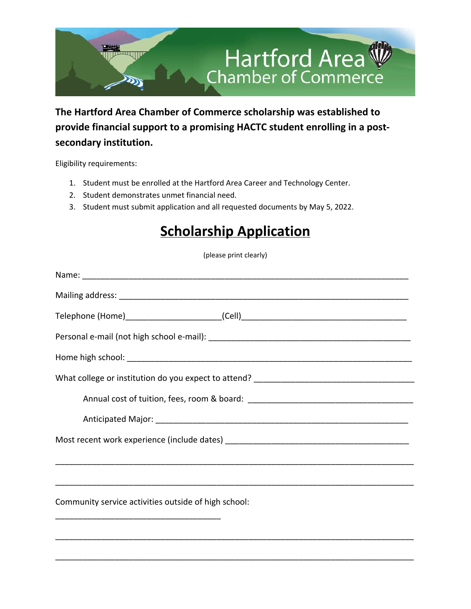

**The Hartford Area Chamber of Commerce scholarship was established to provide financial support to a promising HACTC student enrolling in a postsecondary institution.**

Eligibility requirements:

- 1. Student must be enrolled at the Hartford Area Career and Technology Center.
- 2. Student demonstrates unmet financial need.
- 3. Student must submit application and all requested documents by May 5, 2022.

## **Scholarship Application**

(please print clearly)

| Telephone (Home)_________________________(Cell)_________________________________ |  |
|----------------------------------------------------------------------------------|--|
|                                                                                  |  |
|                                                                                  |  |
|                                                                                  |  |
|                                                                                  |  |
|                                                                                  |  |
|                                                                                  |  |
|                                                                                  |  |
|                                                                                  |  |
| Community service activities outside of high school:                             |  |
|                                                                                  |  |

\_\_\_\_\_\_\_\_\_\_\_\_\_\_\_\_\_\_\_\_\_\_\_\_\_\_\_\_\_\_\_\_\_\_\_\_\_\_\_\_\_\_\_\_\_\_\_\_\_\_\_\_\_\_\_\_\_\_\_\_\_\_\_\_\_\_\_\_\_\_\_\_\_\_\_\_\_\_

\_\_\_\_\_\_\_\_\_\_\_\_\_\_\_\_\_\_\_\_\_\_\_\_\_\_\_\_\_\_\_\_\_\_\_\_\_\_\_\_\_\_\_\_\_\_\_\_\_\_\_\_\_\_\_\_\_\_\_\_\_\_\_\_\_\_\_\_\_\_\_\_\_\_\_\_\_\_